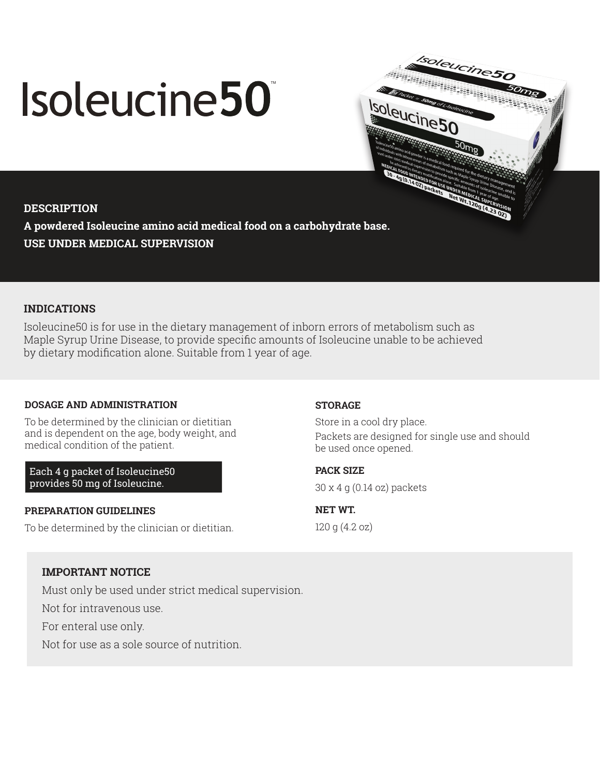# Isoleucine50



## **DESCRIPTION**

**A powdered Isoleucine amino acid medical food on a carbohydrate base. USE UNDER MEDICAL SUPERVISION**

# **INDICATIONS**

Isoleucine50 is for use in the dietary management of inborn errors of metabolism such as Maple Syrup Urine Disease, to provide specific amounts of Isoleucine unable to be achieved by dietary modification alone. Suitable from 1 year of age.

# **DOSAGE AND ADMINISTRATION**

To be determined by the clinician or dietitian and is dependent on the age, body weight, and medical condition of the patient.

Each 4 g packet of Isoleucine50 provides 50 mg of Isoleucine.

## **PREPARATION GUIDELINES**

To be determined by the clinician or dietitian.

## **STORAGE**

Store in a cool dry place. Packets are designed for single use and should be used once opened.

**PACK SIZE** 

30 x 4 g (0.14 oz) packets

**NET WT.**  120 g (4.2 oz)

# **IMPORTANT NOTICE**

Must only be used under strict medical supervision.

Not for intravenous use.

For enteral use only.

Not for use as a sole source of nutrition.